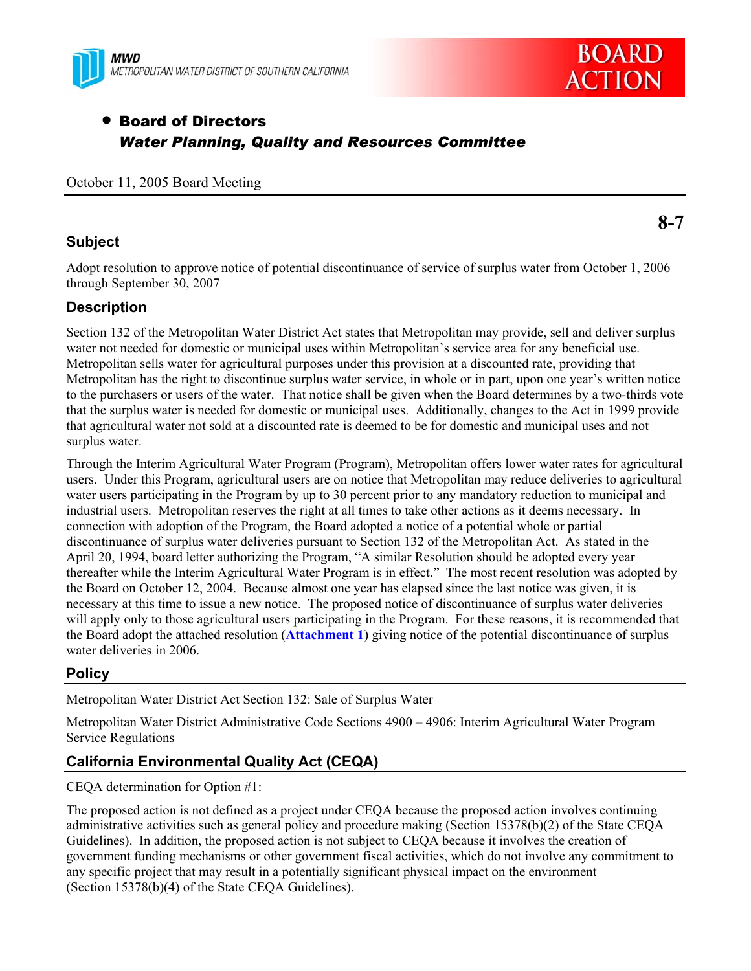



# • Board of Directors *Water Planning, Quality and Resources Committee*

October 11, 2005 Board Meeting

## **Subject**

**8-7** 

Adopt resolution to approve notice of potential discontinuance of service of surplus water from October 1, 2006 through September 30, 2007

## **Description**

Section 132 of the Metropolitan Water District Act states that Metropolitan may provide, sell and deliver surplus water not needed for domestic or municipal uses within Metropolitan's service area for any beneficial use. Metropolitan sells water for agricultural purposes under this provision at a discounted rate, providing that Metropolitan has the right to discontinue surplus water service, in whole or in part, upon one year's written notice to the purchasers or users of the water. That notice shall be given when the Board determines by a two-thirds vote that the surplus water is needed for domestic or municipal uses. Additionally, changes to the Act in 1999 provide that agricultural water not sold at a discounted rate is deemed to be for domestic and municipal uses and not surplus water.

Through the Interim Agricultural Water Program (Program), Metropolitan offers lower water rates for agricultural users. Under this Program, agricultural users are on notice that Metropolitan may reduce deliveries to agricultural water users participating in the Program by up to 30 percent prior to any mandatory reduction to municipal and industrial users. Metropolitan reserves the right at all times to take other actions as it deems necessary. In connection with adoption of the Program, the Board adopted a notice of a potential whole or partial discontinuance of surplus water deliveries pursuant to Section 132 of the Metropolitan Act. As stated in the April 20, 1994, board letter authorizing the Program, "A similar Resolution should be adopted every year thereafter while the Interim Agricultural Water Program is in effect." The most recent resolution was adopted by the Board on October 12, 2004. Because almost one year has elapsed since the last notice was given, it is necessary at this time to issue a new notice. The proposed notice of discontinuance of surplus water deliveries will apply only to those agricultural users participating in the Program. For these reasons, it is recommended that the Board adopt the attached resolution (**Attachment 1**) giving notice of the potential discontinuance of surplus water deliveries in 2006.

## **Policy**

Metropolitan Water District Act Section 132: Sale of Surplus Water

Metropolitan Water District Administrative Code Sections 4900 – 4906: Interim Agricultural Water Program Service Regulations

## **California Environmental Quality Act (CEQA)**

CEQA determination for Option #1:

The proposed action is not defined as a project under CEQA because the proposed action involves continuing administrative activities such as general policy and procedure making (Section 15378(b)(2) of the State CEQA Guidelines). In addition, the proposed action is not subject to CEQA because it involves the creation of government funding mechanisms or other government fiscal activities, which do not involve any commitment to any specific project that may result in a potentially significant physical impact on the environment (Section 15378(b)(4) of the State CEQA Guidelines).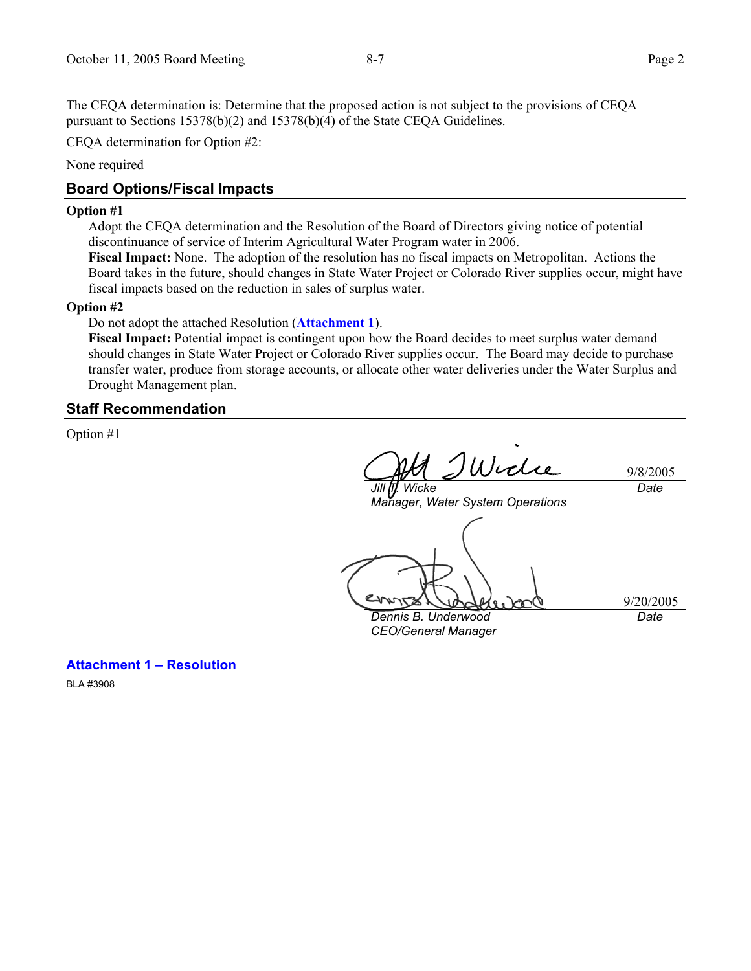The CEQA determination is: Determine that the proposed action is not subject to the provisions of CEQA pursuant to Sections 15378(b)(2) and 15378(b)(4) of the State CEQA Guidelines.

CEQA determination for Option #2:

None required

## **Board Options/Fiscal Impacts**

#### **Option #1**

Adopt the CEQA determination and the Resolution of the Board of Directors giving notice of potential discontinuance of service of Interim Agricultural Water Program water in 2006.

**Fiscal Impact:** None. The adoption of the resolution has no fiscal impacts on Metropolitan. Actions the Board takes in the future, should changes in State Water Project or Colorado River supplies occur, might have fiscal impacts based on the reduction in sales of surplus water.

### **Option #2**

Do not adopt the attached Resolution (**Attachment 1**).

**Fiscal Impact:** Potential impact is contingent upon how the Board decides to meet surplus water demand should changes in State Water Project or Colorado River supplies occur. The Board may decide to purchase transfer water, produce from storage accounts, or allocate other water deliveries under the Water Surplus and Drought Management plan.

### **Staff Recommendation**

Option #1

Wiclie 9/8/2005 *Jill T. Wicke Date* 

*Manager, Water System Operations* 

*Dennis B. Underwood CEO/General Manager* 

9/20/2005

*Date* 

**Attachment 1 – Resolution** 

BLA #3908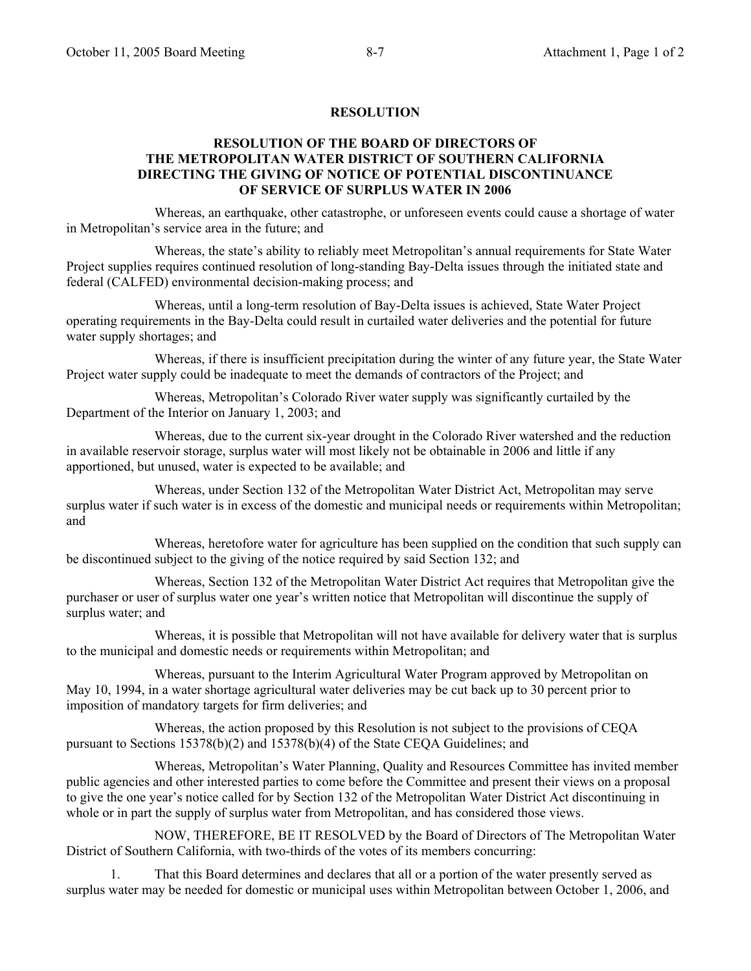### **RESOLUTION**

## **RESOLUTION OF THE BOARD OF DIRECTORS OF THE METROPOLITAN WATER DISTRICT OF SOUTHERN CALIFORNIA DIRECTING THE GIVING OF NOTICE OF POTENTIAL DISCONTINUANCE OF SERVICE OF SURPLUS WATER IN 2006**

 Whereas, an earthquake, other catastrophe, or unforeseen events could cause a shortage of water in Metropolitan's service area in the future; and

 Whereas, the state's ability to reliably meet Metropolitan's annual requirements for State Water Project supplies requires continued resolution of long-standing Bay-Delta issues through the initiated state and federal (CALFED) environmental decision-making process; and

 Whereas, until a long-term resolution of Bay-Delta issues is achieved, State Water Project operating requirements in the Bay-Delta could result in curtailed water deliveries and the potential for future water supply shortages; and

 Whereas, if there is insufficient precipitation during the winter of any future year, the State Water Project water supply could be inadequate to meet the demands of contractors of the Project; and

Whereas, Metropolitan's Colorado River water supply was significantly curtailed by the Department of the Interior on January 1, 2003; and

Whereas, due to the current six-year drought in the Colorado River watershed and the reduction in available reservoir storage, surplus water will most likely not be obtainable in 2006 and little if any apportioned, but unused, water is expected to be available; and

Whereas, under Section 132 of the Metropolitan Water District Act, Metropolitan may serve surplus water if such water is in excess of the domestic and municipal needs or requirements within Metropolitan; and

 Whereas, heretofore water for agriculture has been supplied on the condition that such supply can be discontinued subject to the giving of the notice required by said Section 132; and

 Whereas, Section 132 of the Metropolitan Water District Act requires that Metropolitan give the purchaser or user of surplus water one year's written notice that Metropolitan will discontinue the supply of surplus water; and

 Whereas, it is possible that Metropolitan will not have available for delivery water that is surplus to the municipal and domestic needs or requirements within Metropolitan; and

 Whereas, pursuant to the Interim Agricultural Water Program approved by Metropolitan on May 10, 1994, in a water shortage agricultural water deliveries may be cut back up to 30 percent prior to imposition of mandatory targets for firm deliveries; and

Whereas, the action proposed by this Resolution is not subject to the provisions of CEQA pursuant to Sections 15378(b)(2) and 15378(b)(4) of the State CEQA Guidelines; and

 Whereas, Metropolitan's Water Planning, Quality and Resources Committee has invited member public agencies and other interested parties to come before the Committee and present their views on a proposal to give the one year's notice called for by Section 132 of the Metropolitan Water District Act discontinuing in whole or in part the supply of surplus water from Metropolitan, and has considered those views.

 NOW, THEREFORE, BE IT RESOLVED by the Board of Directors of The Metropolitan Water District of Southern California, with two-thirds of the votes of its members concurring:

 1. That this Board determines and declares that all or a portion of the water presently served as surplus water may be needed for domestic or municipal uses within Metropolitan between October 1, 2006, and